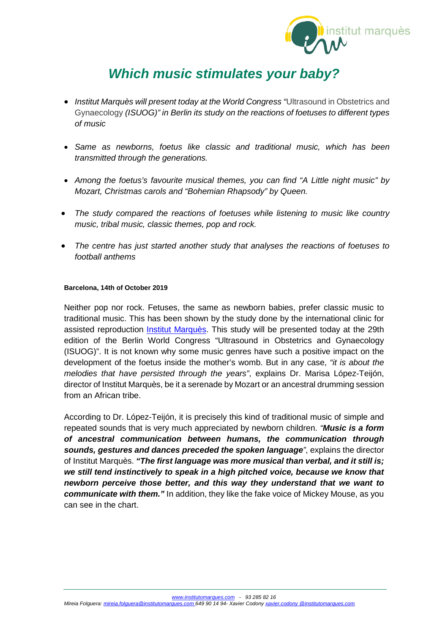

# *Which music stimulates your baby?*

- *Institut Marquès will present today at the World Congress "*Ultrasound in Obstetrics and Gynaecology *(ISUOG)" in Berlin its study on the reactions of foetuses to different types of music*
- *Same as newborns, foetus like classic and traditional music, which has been transmitted through the generations.*
- *Among the foetus's favourite musical themes, you can find "A Little night music" by Mozart, Christmas carols and "Bohemian Rhapsody" by Queen.*
- *The study compared the reactions of foetuses while listening to music like country music, tribal music, classic themes, pop and rock.*
- *The centre has just started another study that analyses the reactions of foetuses to football anthems*

## **Barcelona, 14th of October 2019**

Neither pop nor rock. Fetuses, the same as newborn babies, prefer classic music to traditional music. This has been shown by the study done by the international clinic for assisted reproduction *Institut Marquès*. This study will be presented today at the 29th edition of the Berlin World Congress "Ultrasound in Obstetrics and Gynaecology (ISUOG)". It is not known why some music genres have such a positive impact on the development of the foetus inside the mother's womb. But in any case, *"it is about the melodies that have persisted through the years"*, explains Dr. Marisa López-Teijón, director of Institut Marquès, be it a serenade by Mozart or an ancestral drumming session from an African tribe.

According to Dr. López-Teijón, it is precisely this kind of traditional music of simple and repeated sounds that is very much appreciated by newborn children. *"Music is a form of ancestral communication between humans, the communication through sounds, gestures and dances preceded the spoken language"*, explains the director of Institut Marquès. *"The first language was more musical than verbal, and it still is; we still tend instinctively to speak in a high pitched voice, because we know that newborn perceive those better, and this way they understand that we want to communicate with them."* In addition, they like the fake voice of Mickey Mouse, as you can see in the chart.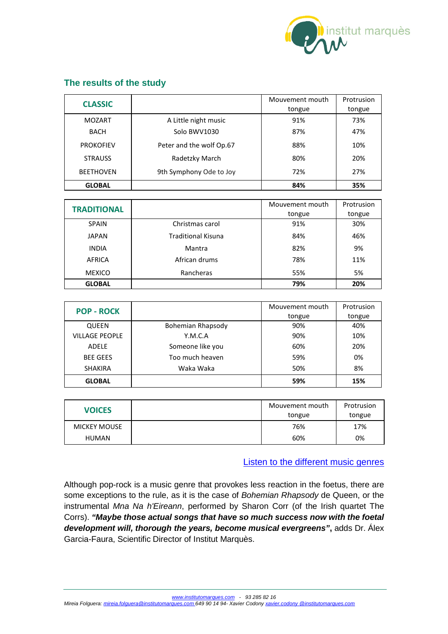

# **The results of the study**

| <b>CLASSIC</b>   |                          | Mouvement mouth<br>tongue | Protrusion<br>tongue |
|------------------|--------------------------|---------------------------|----------------------|
| <b>MOZART</b>    | A Little night music     | 91%                       | 73%                  |
| <b>BACH</b>      | Solo BWV1030             | 87%                       | 47%                  |
| <b>PROKOFIEV</b> | Peter and the wolf Op.67 | 88%                       | 10%                  |
| <b>STRAUSS</b>   | Radetzky March           | 80%                       | 20%                  |
| <b>BEETHOVEN</b> | 9th Symphony Ode to Joy  | 72%                       | 27%                  |
| <b>GLOBAL</b>    |                          | 84%                       | 35%                  |

| <b>TRADITIONAL</b> |                           | Mouvement mouth | Protrusion |
|--------------------|---------------------------|-----------------|------------|
|                    |                           | tongue          | tongue     |
| <b>SPAIN</b>       | Christmas carol           | 91%             | 30%        |
| <b>JAPAN</b>       | <b>Traditional Kisuna</b> | 84%             | 46%        |
| <b>INDIA</b>       | Mantra                    | 82%             | 9%         |
| <b>AFRICA</b>      | African drums             | 78%             | 11%        |
| <b>MEXICO</b>      | Rancheras                 | 55%             | 5%         |
| <b>GLOBAL</b>      |                           | 79%             | 20%        |

| <b>POP - ROCK</b>     |                   | Mouvement mouth | Protrusion |
|-----------------------|-------------------|-----------------|------------|
|                       |                   | tongue          | tongue     |
| <b>QUEEN</b>          | Bohemian Rhapsody | 90%             | 40%        |
| <b>VILLAGE PEOPLE</b> | Y.M.C.A           | 90%             | 10%        |
| ADELE                 | Someone like you  | 60%             | 20%        |
| <b>BEE GEES</b>       | Too much heaven   | 59%             | 0%         |
| <b>SHAKIRA</b>        | Waka Waka         | 50%             | 8%         |
| <b>GLOBAL</b>         |                   | 59%             | 15%        |

| <b>VOICES</b>       | Mouvement mouth<br>tongue | Protrusion<br>tongue |
|---------------------|---------------------------|----------------------|
| <b>MICKEY MOUSE</b> | 76%                       | 17%                  |
| <b>HUMAN</b>        | 60%                       | 0%                   |

[Listen to the different music genres](https://institutomarques.com/en/scientific-area/response-fetus-vaginal-music-2/discover-the-fetuses-reaction-whith-some-musics/)

Although pop-rock is a music genre that provokes less reaction in the foetus, there are some exceptions to the rule, as it is the case of *Bohemian Rhapsody* de Queen, or the instrumental *Mna Na h'Eireann*, performed by Sharon Corr (of the Irish quartet The Corrs). *"Maybe those actual songs that have so much success now with the foetal development will, thorough the years, become musical evergreens"***,** adds Dr. Álex Garcia-Faura, Scientific Director of Institut Marquès.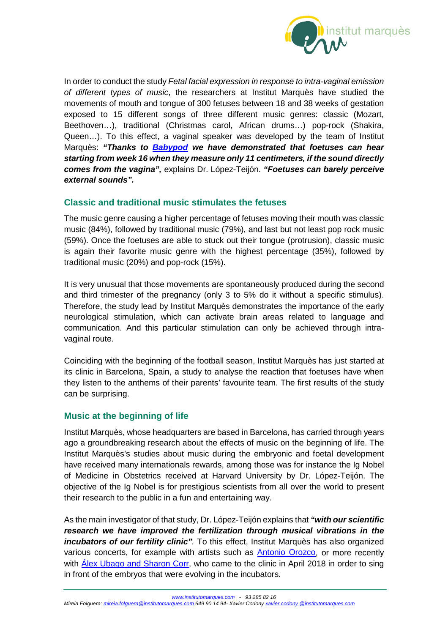

In order to conduct the study *Fetal facial expression in response to intra-vaginal emission of different types of music*, the researchers at Institut Marquès have studied the movements of mouth and tongue of 300 fetuses between 18 and 38 weeks of gestation exposed to 15 different songs of three different music genres: classic (Mozart, Beethoven…), traditional (Christmas carol, African drums…) pop-rock (Shakira, Queen…). To this effect, a vaginal speaker was developed by the team of Institut Marquès: *"Thanks to [Babypod](https://babypod.net/en/) we have demonstrated that foetuses can hear starting from week 16 when they measure only 11 centimeters, if the sound directly comes from the vagina",* explains Dr. López-Teijón. *"Foetuses can barely perceive external sounds".*

## **Classic and traditional music stimulates the fetuses**

The music genre causing a higher percentage of fetuses moving their mouth was classic music (84%), followed by traditional music (79%), and last but not least pop rock music (59%). Once the foetuses are able to stuck out their tongue (protrusion), classic music is again their favorite music genre with the highest percentage (35%), followed by traditional music (20%) and pop-rock (15%).

It is very unusual that those movements are spontaneously produced during the second and third trimester of the pregnancy (only 3 to 5% do it without a specific stimulus). Therefore, the study lead by Institut Marquès demonstrates the importance of the early neurological stimulation, which can activate brain areas related to language and communication. And this particular stimulation can only be achieved through intravaginal route.

Coinciding with the beginning of the football season, Institut Marquès has just started at its clinic in Barcelona, Spain, a study to analyse the reaction that foetuses have when they listen to the anthems of their parents' favourite team. The first results of the study can be surprising.

## **Music at the beginning of life**

Institut Marquès, whose headquarters are based in Barcelona, has carried through years ago a groundbreaking research about the effects of music on the beginning of life. The Institut Marquès's studies about music during the embryonic and foetal development have received many internationals rewards, among those was for instance the Ig Nobel of Medicine in Obstetrics received at Harvard University by Dr. López-Teijón. The objective of the Ig Nobel is for prestigious scientists from all over the world to present their research to the public in a fun and entertaining way.

As the main investigator of that study, Dr. López-Teijón explains that *"with our scientific research we have improved the fertilization through musical vibrations in the incubators of our fertility clinic".* To this effect, Institut Marquès has also organized various concerts, for example with artists such as **Antonio Orozco**, or more recently with *Alex Ubago and Sharon Corr*, who came to the clinic in April 2018 in order to sing in front of the embryos that were evolving in the incubators.